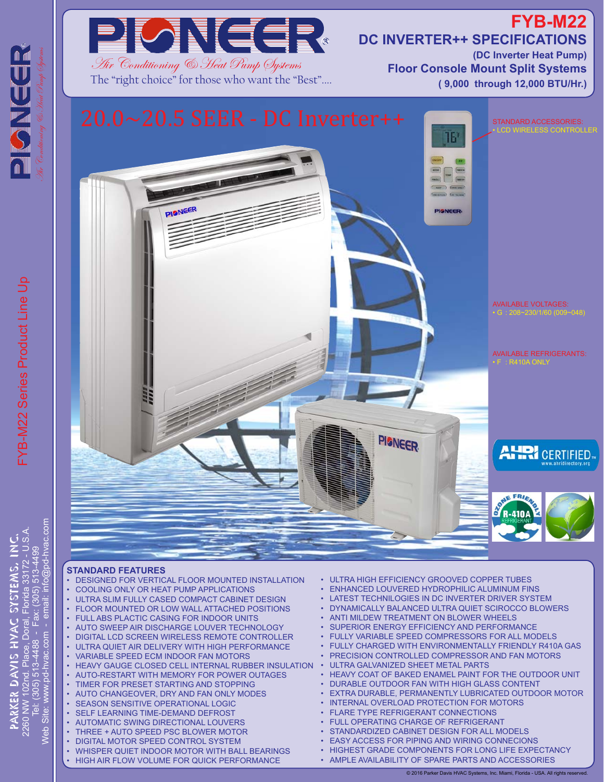

The "right choice" for those who want the "Best"....

## **FYB-M22 DC INVERTER++ SPECIFICATIONS**

**(DC Inverter Heat Pump) Floor Console Mount Split Systems ( 9,000 through 12,000 BTU/Hr.)**



## **STANDARD FEATURES**

- DESIGNED FOR VERTICAL FLOOR MOUNTED INSTALLATION • COOLING ONLY OR HEAT PUMP APPLICATIONS
- ULTRA SLIM FULLY CASED COMPACT CABINET DESIGN
- FLOOR MOUNTED OR LOW WALL ATTACHED POSITIONS
- **FULL ABS PLACTIC CASING FOR INDOOR UNITS**
- AUTO SWEEP AIR DISCHARGE LOUVER TECHNOLOGY • DIGITAL LCD SCREEN WIRELESS REMOTE CONTROLLER
- ULTRA QUIET AIR DELIVERY WITH HIGH PERFORMANCE
- VARIABLE SPEED ECM INDOOR FAN MOTORS
- **HEAVY GAUGE CLOSED CELL INTERNAL RUBBER INSULATION**
- AUTO-RESTART WITH MEMORY FOR POWER OUTAGES
- TIMER FOR PRESET STARTING AND STOPPING
- AUTO CHANGEOVER, DRY AND FAN ONLY MODES
- SEASON SENSITIVE OPERATIONAL LOGIC SELF LEARNING TIME-DEMAND DEFROST
- AUTOMATIC SWING DIRECTIONAL LOUVERS
- THREE + AUTO SPEED PSC BLOWER MOTOR
- DIGITAL MOTOR SPEED CONTROL SYSTEM
- WHISPER QUIET INDOOR MOTOR WITH BALL BEARINGS
- HIGH AIR FLOW VOLUME FOR QUICK PERFORMANCE
- ULTRA HIGH EFFICIENCY GROOVED COPPER TUBES
- ENHANCED LOUVERED HYDROPHILIC ALUMINUM FINS
- LATEST TECHNILOGIES IN DC INVERTER DRIVER SYSTEM
- DYNAMICALLY BALANCED ULTRA QUIET SCIROCCO BLOWERS
- ANTI MILDEW TREATMENT ON BLOWER WHEELS
- SUPERIOR ENERGY EFFICIENCY AND PERFORMANCE
- FULLY VARIABLE SPEED COMPRESSORS FOR ALL MODELS
- FULLY CHARGED WITH ENVIRONMENTALLY FRIENDLY R410A GAS
- PRECISION CONTROLLED COMPRESSOR AND FAN MOTORS
- ULTRA GALVANIZED SHEET METAL PARTS
- HEAVY COAT OF BAKED ENAMEL PAINT FOR THE OUTDOOR UNIT
- DURABLE OUTDOOR FAN WITH HIGH GLASS CONTENT
- **EXTRA DURABLE, PERMANENTLY LUBRICATED OUTDOOR MOTOR**
- INTERNAL OVERLOAD PROTECTION FOR MOTORS **FLARE TYPE REFRIGERANT CONNECTIONS**
- FULL OPERATING CHARGE OF REFRIGERANT
- 
- STANDARDIZED CABINET DESIGN FOR ALL MODELS **EASY ACCESS FOR PIPING AND WIRING CONNECIONS**
- - HIGHEST GRADE COMPONENTS FOR LONG LIFE EXPECTANCY • AMPLE AVAILABILITY OF SPARE PARTS AND ACCESSORIES
		- © 2016 Parker Davis HVAC Systems, Inc. Miami, Florida USA. All rights reserved.

FYB-M22 Series Product Line Up -YB-M22 Series Product Line Up @pd-hvac.com 513-4499